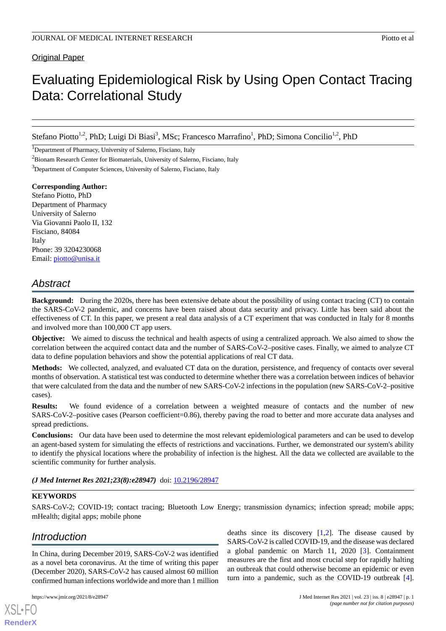Original Paper

# Evaluating Epidemiological Risk by Using Open Contact Tracing Data: Correlational Study

Stefano Piotto<sup>1,2</sup>, PhD; Luigi Di Biasi<sup>3</sup>, MSc; Francesco Marrafino<sup>1</sup>, PhD; Simona Concilio<sup>1,2</sup>, PhD

<sup>1</sup>Department of Pharmacy, University of Salerno, Fisciano, Italy

<sup>2</sup>Bionam Research Center for Biomaterials, University of Salerno, Fisciano, Italy

<sup>3</sup>Department of Computer Sciences, University of Salerno, Fisciano, Italy

**Corresponding Author:** Stefano Piotto, PhD Department of Pharmacy University of Salerno Via Giovanni Paolo II, 132 Fisciano, 84084 Italy Phone: 39 3204230068 Email: [piotto@unisa.it](mailto:piotto@unisa.it)

# *Abstract*

**Background:** During the 2020s, there has been extensive debate about the possibility of using contact tracing (CT) to contain the SARS-CoV-2 pandemic, and concerns have been raised about data security and privacy. Little has been said about the effectiveness of CT. In this paper, we present a real data analysis of a CT experiment that was conducted in Italy for 8 months and involved more than 100,000 CT app users.

**Objective:** We aimed to discuss the technical and health aspects of using a centralized approach. We also aimed to show the correlation between the acquired contact data and the number of SARS-CoV-2–positive cases. Finally, we aimed to analyze CT data to define population behaviors and show the potential applications of real CT data.

**Methods:** We collected, analyzed, and evaluated CT data on the duration, persistence, and frequency of contacts over several months of observation. A statistical test was conducted to determine whether there was a correlation between indices of behavior that were calculated from the data and the number of new SARS-CoV-2 infections in the population (new SARS-CoV-2–positive cases).

**Results:** We found evidence of a correlation between a weighted measure of contacts and the number of new SARS-CoV-2–positive cases (Pearson coefficient=0.86), thereby paving the road to better and more accurate data analyses and spread predictions.

**Conclusions:** Our data have been used to determine the most relevant epidemiological parameters and can be used to develop an agent-based system for simulating the effects of restrictions and vaccinations. Further, we demonstrated our system's ability to identify the physical locations where the probability of infection is the highest. All the data we collected are available to the scientific community for further analysis.

*(J Med Internet Res 2021;23(8):e28947)* doi:  $10.2196/28947$ 

# **KEYWORDS**

SARS-CoV-2; COVID-19; contact tracing; Bluetooth Low Energy; transmission dynamics; infection spread; mobile apps; mHealth; digital apps; mobile phone

# *Introduction*

In China, during December 2019, SARS-CoV-2 was identified as a novel beta coronavirus. At the time of writing this paper (December 2020), SARS-CoV-2 has caused almost 60 million confirmed human infections worldwide and more than 1 million

[XSL](http://www.w3.org/Style/XSL)•FO **[RenderX](http://www.renderx.com/)**

deaths since its discovery  $[1,2]$  $[1,2]$  $[1,2]$  $[1,2]$ . The disease caused by SARS-CoV-2 is called COVID-19, and the disease was declared a global pandemic on March 11, 2020 [\[3\]](#page-8-2). Containment measures are the first and most crucial step for rapidly halting an outbreak that could otherwise become an epidemic or even turn into a pandemic, such as the COVID-19 outbreak [[4\]](#page-8-3).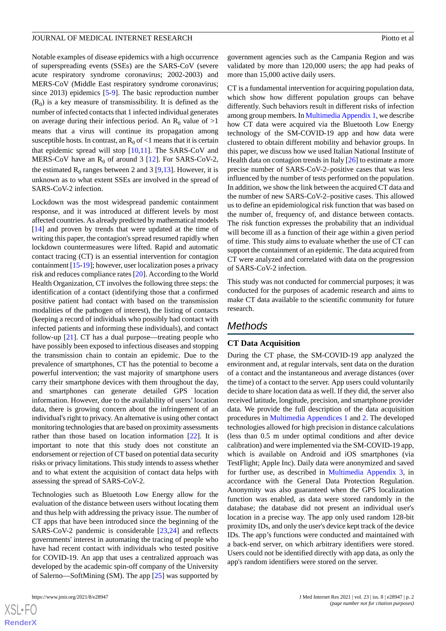Notable examples of disease epidemics with a high occurrence of superspreading events (SSEs) are the SARS-CoV (severe acute respiratory syndrome coronavirus; 2002-2003) and MERS-CoV (Middle East respiratory syndrome coronavirus; since 2013) epidemics [[5-](#page-8-4)[9](#page-9-0)]. The basic reproduction number  $(R_0)$  is a key measure of transmissibility. It is defined as the number of infected contacts that 1 infected individual generates on average during their infectious period. An  $R_0$  value of  $>1$ means that a virus will continue its propagation among susceptible hosts. In contrast, an  $R_0$  of <1 means that it is certain that epidemic spread will stop [[10,](#page-9-1)[11](#page-9-2)]. The SARS-CoV and MERS-CoV have an  $R_0$  of around 3 [\[12](#page-9-3)]. For SARS-CoV-2, the estimated  $R_0$  ranges between 2 and 3 [\[9](#page-9-0),[13\]](#page-9-4). However, it is unknown as to what extent SSEs are involved in the spread of SARS-CoV-2 infection.

Lockdown was the most widespread pandemic containment response, and it was introduced at different levels by most affected countries. As already predicted by mathematical models [[14\]](#page-9-5) and proven by trends that were updated at the time of writing this paper, the contagion's spread resumed rapidly when lockdown countermeasures were lifted. Rapid and automatic contact tracing (CT) is an essential intervention for contagion containment [[15-](#page-9-6)[19\]](#page-9-7); however, user localization poses a privacy risk and reduces compliance rates [[20\]](#page-9-8). According to the World Health Organization, CT involves the following three steps: the identification of a contact (identifying those that a confirmed positive patient had contact with based on the transmission modalities of the pathogen of interest), the listing of contacts (keeping a record of individuals who possibly had contact with infected patients and informing these individuals), and contact follow-up [\[21](#page-9-9)]. CT has a dual purpose—treating people who have possibly been exposed to infectious diseases and stopping the transmission chain to contain an epidemic. Due to the prevalence of smartphones, CT has the potential to become a powerful intervention; the vast majority of smartphone users carry their smartphone devices with them throughout the day, and smartphones can generate detailed GPS location information. However, due to the availability of users'location data, there is growing concern about the infringement of an individual's right to privacy. An alternative is using other contact monitoring technologies that are based on proximity assessments rather than those based on location information [\[22](#page-9-10)]. It is important to note that this study does not constitute an endorsement or rejection of CT based on potential data security risks or privacy limitations. This study intends to assess whether and to what extent the acquisition of contact data helps with assessing the spread of SARS-CoV-2.

Technologies such as Bluetooth Low Energy allow for the evaluation of the distance between users without locating them and thus help with addressing the privacy issue. The number of CT apps that have been introduced since the beginning of the SARS-CoV-2 pandemic is considerable [[23,](#page-9-11)[24\]](#page-9-12) and reflects governments' interest in automating the tracing of people who have had recent contact with individuals who tested positive for COVID-19. An app that uses a centralized approach was developed by the academic spin-off company of the University of Salerno—SoftMining (SM). The app [\[25](#page-9-13)] was supported by

 $XS$ -FO **[RenderX](http://www.renderx.com/)** government agencies such as the Campania Region and was validated by more than 120,000 users; the app had peaks of more than 15,000 active daily users.

CT is a fundamental intervention for acquiring population data, which show how different population groups can behave differently. Such behaviors result in different risks of infection among group members. In [Multimedia Appendix 1](#page-8-5), we describe how CT data were acquired via the Bluetooth Low Energy technology of the SM-COVID-19 app and how data were clustered to obtain different mobility and behavior groups. In this paper, we discuss how we used Italian National Institute of Health data on contagion trends in Italy [[26\]](#page-9-14) to estimate a more precise number of SARS-CoV-2–positive cases that was less influenced by the number of tests performed on the population. In addition, we show the link between the acquired CT data and the number of new SARS-CoV-2–positive cases. This allowed us to define an epidemiological risk function that was based on the number of, frequency of, and distance between contacts. The risk function expresses the probability that an individual will become ill as a function of their age within a given period of time. This study aims to evaluate whether the use of CT can support the containment of an epidemic. The data acquired from CT were analyzed and correlated with data on the progression of SARS-CoV-2 infection.

This study was not conducted for commercial purposes; it was conducted for the purposes of academic research and aims to make CT data available to the scientific community for future research.

# *Methods*

## **CT Data Acquisition**

During the CT phase, the SM-COVID-19 app analyzed the environment and, at regular intervals, sent data on the duration of a contact and the instantaneous and average distances (over the time) of a contact to the server. App users could voluntarily decide to share location data as well. If they did, the server also received latitude, longitude, precision, and smartphone provider data. We provide the full description of the data acquisition procedures in [Multimedia Appendices 1](#page-8-5) and [2.](#page-8-6) The developed technologies allowed for high precision in distance calculations (less than 0.5 m under optimal conditions and after device calibration) and were implemented via the SM-COVID-19 app, which is available on Android and iOS smartphones (via TestFlight; Apple Inc). Daily data were anonymized and saved for further use, as described in [Multimedia Appendix 3](#page-8-7), in accordance with the General Data Protection Regulation. Anonymity was also guaranteed when the GPS localization function was enabled, as data were stored randomly in the database; the database did not present an individual user's location in a precise way. The app only used random 128-bit proximity IDs, and only the user's device kept track of the device IDs. The app's functions were conducted and maintained with a back-end server, on which arbitrary identifiers were stored. Users could not be identified directly with app data, as only the app's random identifiers were stored on the server.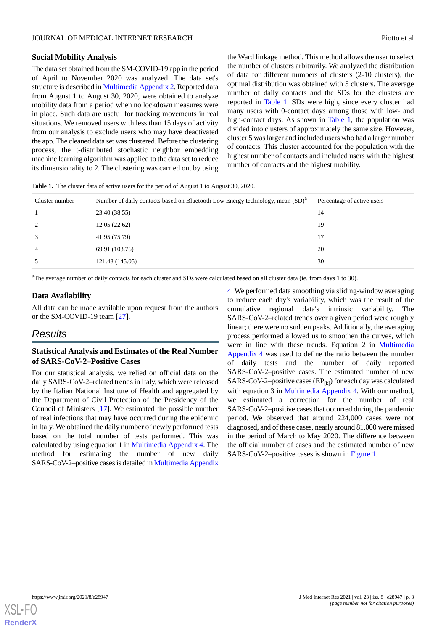### **Social Mobility Analysis**

The data set obtained from the SM-COVID-19 app in the period of April to November 2020 was analyzed. The data set's structure is described in [Multimedia Appendix 2](#page-8-6). Reported data from August 1 to August 30, 2020, were obtained to analyze mobility data from a period when no lockdown measures were in place. Such data are useful for tracking movements in real situations. We removed users with less than 15 days of activity from our analysis to exclude users who may have deactivated the app. The cleaned data set was clustered. Before the clustering process, the t-distributed stochastic neighbor embedding machine learning algorithm was applied to the data set to reduce its dimensionality to 2. The clustering was carried out by using

the Ward linkage method. This method allows the user to select the number of clusters arbitrarily. We analyzed the distribution of data for different numbers of clusters (2-10 clusters); the optimal distribution was obtained with 5 clusters. The average number of daily contacts and the SDs for the clusters are reported in [Table 1](#page-2-0). SDs were high, since every cluster had many users with 0-contact days among those with low- and high-contact days. As shown in [Table 1,](#page-2-0) the population was divided into clusters of approximately the same size. However, cluster 5 was larger and included users who had a larger number of contacts. This cluster accounted for the population with the highest number of contacts and included users with the highest number of contacts and the highest mobility.

<span id="page-2-0"></span>**Table 1.** The cluster data of active users for the period of August 1 to August 30, 2020.

| Cluster number | Number of daily contacts based on Bluetooth Low Energy technology, mean (SD) <sup>a</sup> | Percentage of active users |
|----------------|-------------------------------------------------------------------------------------------|----------------------------|
|                | 23.40 (38.55)                                                                             | 14                         |
| 2              | 12.05(22.62)                                                                              | 19                         |
| 3              | 41.95 (75.79)                                                                             | 17                         |
| $\overline{4}$ | 69.91 (103.76)                                                                            | 20                         |
| 5              | 121.48 (145.05)                                                                           | 30                         |

<sup>a</sup>The average number of daily contacts for each cluster and SDs were calculated based on all cluster data (ie, from days 1 to 30).

# **Data Availability**

All data can be made available upon request from the authors or the SM-COVID-19 team [\[27](#page-9-15)].

# *Results*

# **Statistical Analysis and Estimates of the Real Number of SARS-CoV-2–Positive Cases**

For our statistical analysis, we relied on official data on the daily SARS-CoV-2–related trends in Italy, which were released by the Italian National Institute of Health and aggregated by the Department of Civil Protection of the Presidency of the Council of Ministers [\[17](#page-9-16)]. We estimated the possible number of real infections that may have occurred during the epidemic in Italy. We obtained the daily number of newly performed tests based on the total number of tests performed. This was calculated by using equation 1 in [Multimedia Appendix 4](#page-8-8). The method for estimating the number of new daily SARS-CoV-2–positive cases is detailed in [Multimedia Appendix](#page-8-8)

[4.](#page-8-8) We performed data smoothing via sliding-window averaging to reduce each day's variability, which was the result of the cumulative regional data's intrinsic variability. SARS-CoV-2–related trends over a given period were roughly linear; there were no sudden peaks. Additionally, the averaging process performed allowed us to smoothen the curves, which were in line with these trends. Equation 2 in [Multimedia](#page-8-8) [Appendix 4](#page-8-8) was used to define the ratio between the number of daily tests and the number of daily reported SARS-CoV-2–positive cases. The estimated number of new SARS-CoV-2–positive cases  $(EP_{[k]})$  for each day was calculated with equation 3 in [Multimedia Appendix 4](#page-8-8). With our method, we estimated a correction for the number of real SARS-CoV-2–positive cases that occurred during the pandemic period. We observed that around 224,000 cases were not diagnosed, and of these cases, nearly around 81,000 were missed in the period of March to May 2020. The difference between the official number of cases and the estimated number of new SARS-CoV-2–positive cases is shown in [Figure 1.](#page-3-0)

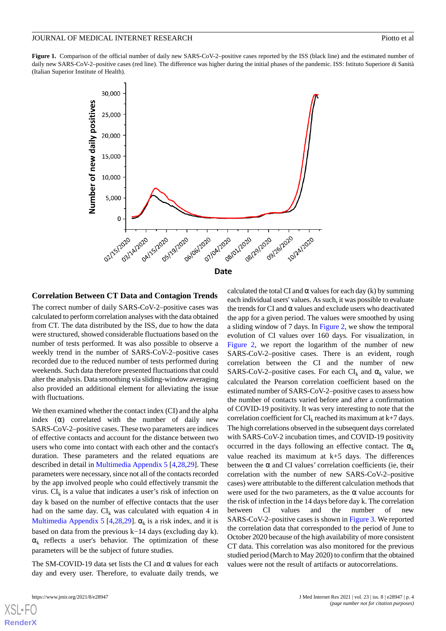<span id="page-3-0"></span>Figure 1. Comparison of the official number of daily new SARS-CoV-2–positive cases reported by the ISS (black line) and the estimated number of daily new SARS-CoV-2–positive cases (red line). The difference was higher during the initial phases of the pandemic. ISS: Istituto Superiore di Sanità (Italian Superior Institute of Health).



#### **Correlation Between CT Data and Contagion Trends**

The correct number of daily SARS-CoV-2–positive cases was calculated to perform correlation analyses with the data obtained from CT. The data distributed by the ISS, due to how the data were structured, showed considerable fluctuations based on the number of tests performed. It was also possible to observe a weekly trend in the number of SARS-CoV-2–positive cases recorded due to the reduced number of tests performed during weekends. Such data therefore presented fluctuations that could alter the analysis. Data smoothing via sliding-window averaging also provided an additional element for alleviating the issue with fluctuations.

We then examined whether the contact index (CI) and the alpha index  $(\alpha)$  correlated with the number of daily new SARS-CoV-2–positive cases. These two parameters are indices of effective contacts and account for the distance between two users who come into contact with each other and the contact's duration. These parameters and the related equations are described in detail in [Multimedia Appendix 5](#page-8-9) [[4,](#page-8-3)[28](#page-9-17),[29\]](#page-10-0). These parameters were necessary, since not all of the contacts recorded by the app involved people who could effectively transmit the virus.  $CI_k$  is a value that indicates a user's risk of infection on day k based on the number of effective contacts that the user had on the same day.  $CI_k$  was calculated with equation 4 in [Multimedia Appendix 5](#page-8-9) [[4,](#page-8-3)[28](#page-9-17),[29\]](#page-10-0).  $\alpha_k$  is a risk index, and it is based on data from the previous k−14 days (excluding day k).  $\alpha_k$  reflects a user's behavior. The optimization of these parameters will be the subject of future studies.

The SM-COVID-19 data set lists the CI and  $\alpha$  values for each day and every user. Therefore, to evaluate daily trends, we

[XSL](http://www.w3.org/Style/XSL)•FO **[RenderX](http://www.renderx.com/)**

calculated the total CI and  $\alpha$  values for each day (k) by summing each individual users' values. As such, it was possible to evaluate the trends for CI and  $\alpha$  values and exclude users who deactivated the app for a given period. The values were smoothed by using a sliding window of 7 days. In [Figure 2](#page-4-0), we show the temporal evolution of CI values over 160 days. For visualization, in [Figure 2](#page-4-0), we report the logarithm of the number of new SARS-CoV-2–positive cases. There is an evident, rough correlation between the CI and the number of new SARS-CoV-2-positive cases. For each  $CI_k$  and  $\alpha_k$  value, we calculated the Pearson correlation coefficient based on the estimated number of SARS-CoV-2–positive cases to assess how the number of contacts varied before and after a confirmation of COVID-19 positivity. It was very interesting to note that the correlation coefficient for  $CI_k$  reached its maximum at  $k+7$  days. The high correlations observed in the subsequent days correlated with SARS-CoV-2 incubation times, and COVID-19 positivity occurred in the days following an effective contact. The  $\alpha_k$ value reached its maximum at k+5 days. The differences between the  $\alpha$  and CI values' correlation coefficients (ie, their correlation with the number of new SARS-CoV-2–positive cases) were attributable to the different calculation methods that were used for the two parameters, as the  $\alpha$  value accounts for the risk of infection in the 14 days before day k. The correlation between CI values and the number of new SARS-CoV-2–positive cases is shown in [Figure 3.](#page-4-1) We reported the correlation data that corresponded to the period of June to October 2020 because of the high availability of more consistent CT data. This correlation was also monitored for the previous studied period (March to May 2020) to confirm that the obtained values were not the result of artifacts or autocorrelations.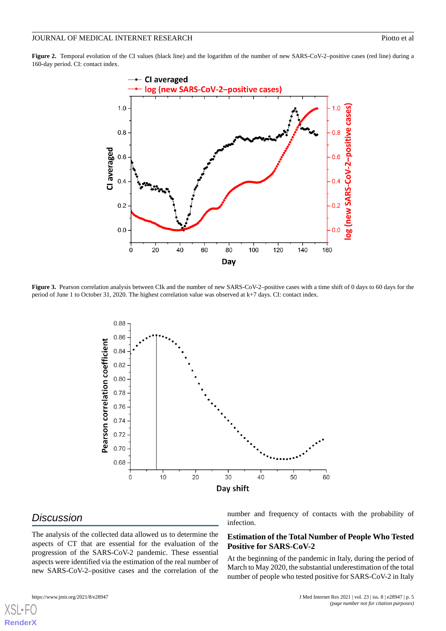#### JOURNAL OF MEDICAL INTERNET RESEARCH PIONE AND ACCOUNT PROPERTY AND PROTOCOL PROPERTY AND PIONE OF ALL PROPERTY AND ACCOUNT PROPERTY AND ACCOUNT PROPERTY AND ACCOUNT AND ACCOUNT AND ACCOUNT AND ACCOUNT AND ACCOUNT AND ACCO

<span id="page-4-0"></span>Figure 2. Temporal evolution of the CI values (black line) and the logarithm of the number of new SARS-CoV-2–positive cases (red line) during a 160-day period. CI: contact index.



<span id="page-4-1"></span>Figure 3. Pearson correlation analysis between CIk and the number of new SARS-CoV-2–positive cases with a time shift of 0 days to 60 days for the period of June 1 to October 31, 2020. The highest correlation value was observed at k+7 days. CI: contact index.



# *Discussion*

[XSL](http://www.w3.org/Style/XSL)•FO **[RenderX](http://www.renderx.com/)**

The analysis of the collected data allowed us to determine the aspects of CT that are essential for the evaluation of the progression of the SARS-CoV-2 pandemic. These essential aspects were identified via the estimation of the real number of new SARS-CoV-2–positive cases and the correlation of the

number and frequency of contacts with the probability of infection.

# **Estimation of the Total Number of People Who Tested Positive for SARS-CoV-2**

At the beginning of the pandemic in Italy, during the period of March to May 2020, the substantial underestimation of the total number of people who tested positive for SARS-CoV-2 in Italy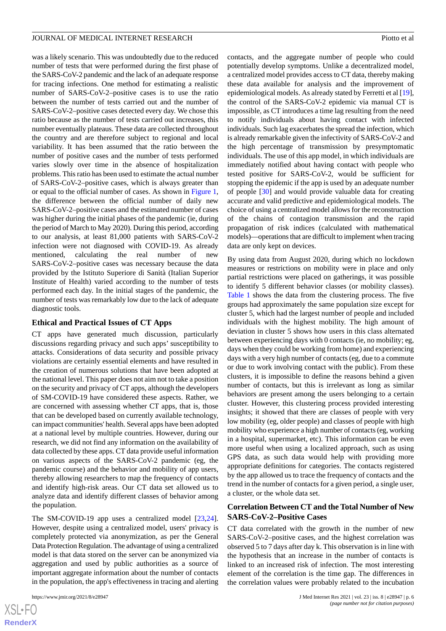was a likely scenario. This was undoubtedly due to the reduced number of tests that were performed during the first phase of the SARS-CoV-2 pandemic and the lack of an adequate response for tracing infections. One method for estimating a realistic number of SARS-CoV-2–positive cases is to use the ratio between the number of tests carried out and the number of SARS-CoV-2–positive cases detected every day. We chose this ratio because as the number of tests carried out increases, this number eventually plateaus. These data are collected throughout the country and are therefore subject to regional and local variability. It has been assumed that the ratio between the number of positive cases and the number of tests performed varies slowly over time in the absence of hospitalization problems. This ratio has been used to estimate the actual number of SARS-CoV-2–positive cases, which is always greater than or equal to the official number of cases. As shown in [Figure 1](#page-3-0), the difference between the official number of daily new SARS-CoV-2–positive cases and the estimated number of cases was higher during the initial phases of the pandemic (ie, during the period of March to May 2020). During this period, according to our analysis, at least 81,000 patients with SARS-CoV-2 infection were not diagnosed with COVID-19. As already mentioned, calculating the real number of new SARS-CoV-2–positive cases was necessary because the data provided by the Istituto Superiore di Sanità (Italian Superior Institute of Health) varied according to the number of tests performed each day. In the initial stages of the pandemic, the number of tests was remarkably low due to the lack of adequate diagnostic tools.

#### **Ethical and Practical Issues of CT Apps**

CT apps have generated much discussion, particularly discussions regarding privacy and such apps' susceptibility to attacks. Considerations of data security and possible privacy violations are certainly essential elements and have resulted in the creation of numerous solutions that have been adopted at the national level. This paper does not aim not to take a position on the security and privacy of CT apps, although the developers of SM-COVID-19 have considered these aspects. Rather, we are concerned with assessing whether CT apps, that is, those that can be developed based on currently available technology, can impact communities' health. Several apps have been adopted at a national level by multiple countries. However, during our research, we did not find any information on the availability of data collected by these apps. CT data provide useful information on various aspects of the SARS-CoV-2 pandemic (eg, the pandemic course) and the behavior and mobility of app users, thereby allowing researchers to map the frequency of contacts and identify high-risk areas. Our CT data set allowed us to analyze data and identify different classes of behavior among the population.

The SM-COVID-19 app uses a centralized model [\[23](#page-9-11),[24\]](#page-9-12). However, despite using a centralized model, users' privacy is completely protected via anonymization, as per the General Data Protection Regulation. The advantage of using a centralized model is that data stored on the server can be anonymized via aggregation and used by public authorities as a source of important aggregate information about the number of contacts in the population, the app's effectiveness in tracing and alerting

contacts, and the aggregate number of people who could potentially develop symptoms. Unlike a decentralized model, a centralized model provides access to CT data, thereby making these data available for analysis and the improvement of epidemiological models. As already stated by Ferretti et al [\[19\]](#page-9-7), the control of the SARS-CoV-2 epidemic via manual CT is impossible, as CT introduces a time lag resulting from the need to notify individuals about having contact with infected individuals. Such lag exacerbates the spread the infection, which is already remarkable given the infectivity of SARS-CoV-2 and the high percentage of transmission by presymptomatic individuals. The use of this app model, in which individuals are immediately notified about having contact with people who tested positive for SARS-CoV-2, would be sufficient for stopping the epidemic if the app is used by an adequate number of people [\[30](#page-10-1)] and would provide valuable data for creating accurate and valid predictive and epidemiological models. The choice of using a centralized model allows for the reconstruction of the chains of contagion transmission and the rapid propagation of risk indices (calculated with mathematical models)—operations that are difficult to implement when tracing data are only kept on devices.

By using data from August 2020, during which no lockdown measures or restrictions on mobility were in place and only partial restrictions were placed on gatherings, it was possible to identify 5 different behavior classes (or mobility classes). [Table 1](#page-2-0) shows the data from the clustering process. The five groups had approximately the same population size except for cluster 5, which had the largest number of people and included individuals with the highest mobility. The high amount of deviation in cluster 5 shows how users in this class alternated between experiencing days with 0 contacts (ie, no mobility; eg, days when they could be working from home) and experiencing days with a very high number of contacts (eg, due to a commute or due to work involving contact with the public). From these clusters, it is impossible to define the reasons behind a given number of contacts, but this is irrelevant as long as similar behaviors are present among the users belonging to a certain cluster. However, this clustering process provided interesting insights; it showed that there are classes of people with very low mobility (eg, older people) and classes of people with high mobility who experience a high number of contacts (eg, working in a hospital, supermarket, etc). This information can be even more useful when using a localized approach, such as using GPS data, as such data would help with providing more appropriate definitions for categories. The contacts registered by the app allowed us to trace the frequency of contacts and the trend in the number of contacts for a given period, a single user, a cluster, or the whole data set.

# **Correlation Between CT and the Total Number of New SARS-CoV-2–Positive Cases**

CT data correlated with the growth in the number of new SARS-CoV-2–positive cases, and the highest correlation was observed 5 to 7 days after day k. This observation is in line with the hypothesis that an increase in the number of contacts is linked to an increased risk of infection. The most interesting element of the correlation is the time gap. The differences in the correlation values were probably related to the incubation

```
XSL•FO
RenderX
```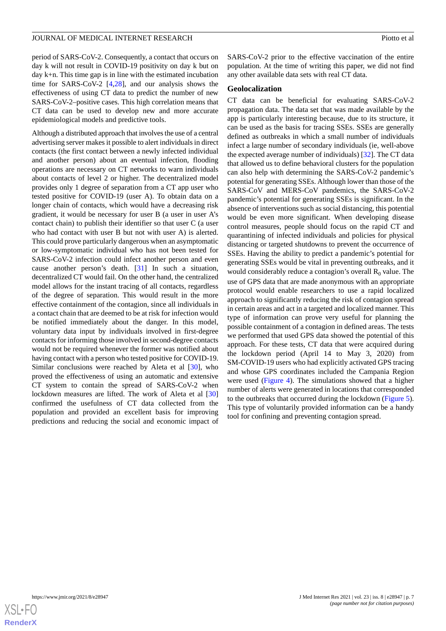period of SARS-CoV-2. Consequently, a contact that occurs on day k will not result in COVID-19 positivity on day k but on day k+n. This time gap is in line with the estimated incubation time for SARS-CoV-2 [\[4](#page-8-3),[28\]](#page-9-17), and our analysis shows the effectiveness of using CT data to predict the number of new SARS-CoV-2–positive cases. This high correlation means that CT data can be used to develop new and more accurate epidemiological models and predictive tools.

Although a distributed approach that involves the use of a central advertising server makes it possible to alert individuals in direct contacts (the first contact between a newly infected individual and another person) about an eventual infection, flooding operations are necessary on CT networks to warn individuals about contacts of level 2 or higher. The decentralized model provides only 1 degree of separation from a CT app user who tested positive for COVID-19 (user A). To obtain data on a longer chain of contacts, which would have a decreasing risk gradient, it would be necessary for user B (a user in user A's contact chain) to publish their identifier so that user C (a user who had contact with user B but not with user A) is alerted. This could prove particularly dangerous when an asymptomatic or low-symptomatic individual who has not been tested for SARS-CoV-2 infection could infect another person and even cause another person's death. [[31\]](#page-10-2) In such a situation, decentralized CT would fail. On the other hand, the centralized model allows for the instant tracing of all contacts, regardless of the degree of separation. This would result in the more effective containment of the contagion, since all individuals in a contact chain that are deemed to be at risk for infection would be notified immediately about the danger. In this model, voluntary data input by individuals involved in first-degree contacts for informing those involved in second-degree contacts would not be required whenever the former was notified about having contact with a person who tested positive for COVID-19. Similar conclusions were reached by Aleta et al [\[30](#page-10-1)], who proved the effectiveness of using an automatic and extensive CT system to contain the spread of SARS-CoV-2 when lockdown measures are lifted. The work of Aleta et al [\[30](#page-10-1)] confirmed the usefulness of CT data collected from the population and provided an excellent basis for improving predictions and reducing the social and economic impact of SARS-CoV-2 prior to the effective vaccination of the entire population. At the time of writing this paper, we did not find any other available data sets with real CT data.

#### **Geolocalization**

CT data can be beneficial for evaluating SARS-CoV-2 propagation data. The data set that was made available by the app is particularly interesting because, due to its structure, it can be used as the basis for tracing SSEs. SSEs are generally defined as outbreaks in which a small number of individuals infect a large number of secondary individuals (ie, well-above the expected average number of individuals) [\[32](#page-10-3)]. The CT data that allowed us to define behavioral clusters for the population can also help with determining the SARS-CoV-2 pandemic's potential for generating SSEs. Although lower than those of the SARS-CoV and MERS-CoV pandemics, the SARS-CoV-2 pandemic's potential for generating SSEs is significant. In the absence of interventions such as social distancing, this potential would be even more significant. When developing disease control measures, people should focus on the rapid CT and quarantining of infected individuals and policies for physical distancing or targeted shutdowns to prevent the occurrence of SSEs. Having the ability to predict a pandemic's potential for generating SSEs would be vital in preventing outbreaks, and it would considerably reduce a contagion's overall  $R_0$  value. The use of GPS data that are made anonymous with an appropriate protocol would enable researchers to use a rapid localized approach to significantly reducing the risk of contagion spread in certain areas and act in a targeted and localized manner. This type of information can prove very useful for planning the possible containment of a contagion in defined areas. The tests we performed that used GPS data showed the potential of this approach. For these tests, CT data that were acquired during the lockdown period (April 14 to May 3, 2020) from SM-COVID-19 users who had explicitly activated GPS tracing and whose GPS coordinates included the Campania Region were used [\(Figure 4](#page-7-0)). The simulations showed that a higher number of alerts were generated in locations that corresponded to the outbreaks that occurred during the lockdown [\(Figure 5\)](#page-7-1). This type of voluntarily provided information can be a handy tool for confining and preventing contagion spread.

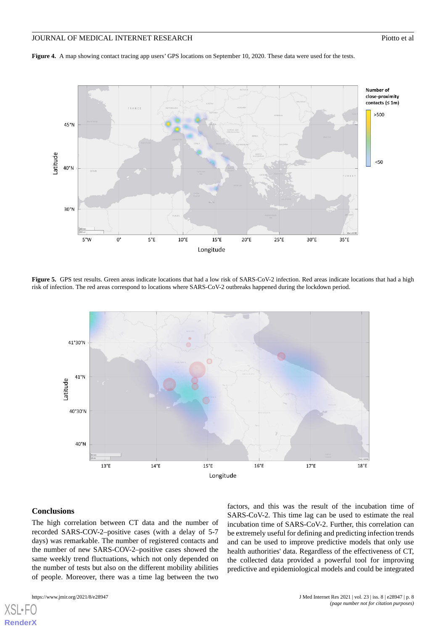# JOURNAL OF MEDICAL INTERNET RESEARCH PIONE AND ACCOUNT PROPERTY AND PROTOCOL PROPERTY AND PIONE OF ALL PROPERTY AND ACCOUNT PROPERTY AND ACCOUNT PROPERTY AND ACCOUNT AND ACCOUNT AND ACCOUNT AND ACCOUNT AND ACCOUNT AND ACCO

<span id="page-7-0"></span>**Figure 4.** A map showing contact tracing app users' GPS locations on September 10, 2020. These data were used for the tests.



<span id="page-7-1"></span>Figure 5. GPS test results. Green areas indicate locations that had a low risk of SARS-CoV-2 infection. Red areas indicate locations that had a high risk of infection. The red areas correspond to locations where SARS-CoV-2 outbreaks happened during the lockdown period.



#### **Conclusions**

[XSL](http://www.w3.org/Style/XSL)•FO **[RenderX](http://www.renderx.com/)**

The high correlation between CT data and the number of recorded SARS-COV-2–positive cases (with a delay of 5-7 days) was remarkable. The number of registered contacts and the number of new SARS-COV-2–positive cases showed the same weekly trend fluctuations, which not only depended on the number of tests but also on the different mobility abilities of people. Moreover, there was a time lag between the two

factors, and this was the result of the incubation time of SARS-CoV-2. This time lag can be used to estimate the real incubation time of SARS-CoV-2. Further, this correlation can be extremely useful for defining and predicting infection trends and can be used to improve predictive models that only use health authorities' data. Regardless of the effectiveness of CT, the collected data provided a powerful tool for improving predictive and epidemiological models and could be integrated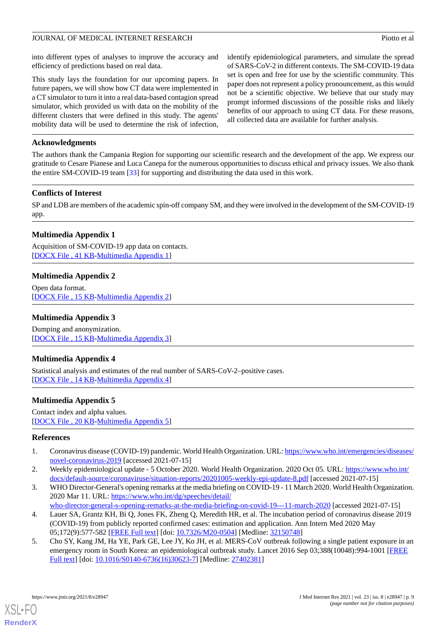into different types of analyses to improve the accuracy and efficiency of predictions based on real data.

This study lays the foundation for our upcoming papers. In future papers, we will show how CT data were implemented in a CT simulator to turn it into a real data-based contagion spread simulator, which provided us with data on the mobility of the different clusters that were defined in this study. The agents' mobility data will be used to determine the risk of infection,

identify epidemiological parameters, and simulate the spread of SARS-CoV-2 in different contexts. The SM-COVID-19 data set is open and free for use by the scientific community. This paper does not represent a policy pronouncement, as this would not be a scientific objective. We believe that our study may prompt informed discussions of the possible risks and likely benefits of our approach to using CT data. For these reasons, all collected data are available for further analysis.

## **Acknowledgments**

The authors thank the Campania Region for supporting our scientific research and the development of the app. We express our gratitude to Cesare Pianese and Luca Canepa for the numerous opportunities to discuss ethical and privacy issues. We also thank the entire SM-COVID-19 team [[33\]](#page-10-4) for supporting and distributing the data used in this work.

# **Conflicts of Interest**

<span id="page-8-5"></span>SP and LDB are members of the academic spin-off company SM, and they were involved in the development of the SM-COVID-19 app.

# **Multimedia Appendix 1**

<span id="page-8-6"></span>Acquisition of SM-COVID-19 app data on contacts. [[DOCX File , 41 KB](https://jmir.org/api/download?alt_name=jmir_v23i8e28947_app1.docx&filename=314e4a27a951e97e0ceb94e43c4ccdd8.docx)-[Multimedia Appendix 1\]](https://jmir.org/api/download?alt_name=jmir_v23i8e28947_app1.docx&filename=314e4a27a951e97e0ceb94e43c4ccdd8.docx)

# **Multimedia Appendix 2**

<span id="page-8-7"></span>Open data format. [[DOCX File , 15 KB](https://jmir.org/api/download?alt_name=jmir_v23i8e28947_app2.docx&filename=c783c5c1e7f70ca67e8b2a0ebd8b64e7.docx)-[Multimedia Appendix 2\]](https://jmir.org/api/download?alt_name=jmir_v23i8e28947_app2.docx&filename=c783c5c1e7f70ca67e8b2a0ebd8b64e7.docx)

## <span id="page-8-8"></span>**Multimedia Appendix 3**

Dumping and anonymization. [[DOCX File , 15 KB](https://jmir.org/api/download?alt_name=jmir_v23i8e28947_app3.docx&filename=e3c83b2432d6aaadcb8c86ab8430bc50.docx)-[Multimedia Appendix 3\]](https://jmir.org/api/download?alt_name=jmir_v23i8e28947_app3.docx&filename=e3c83b2432d6aaadcb8c86ab8430bc50.docx)

#### <span id="page-8-9"></span>**Multimedia Appendix 4**

Statistical analysis and estimates of the real number of SARS-CoV-2–positive cases. [[DOCX File , 14 KB](https://jmir.org/api/download?alt_name=jmir_v23i8e28947_app4.docx&filename=56084bfe5c395c873e108400ed880ff2.docx)-[Multimedia Appendix 4\]](https://jmir.org/api/download?alt_name=jmir_v23i8e28947_app4.docx&filename=56084bfe5c395c873e108400ed880ff2.docx)

# <span id="page-8-0"></span>**Multimedia Appendix 5**

<span id="page-8-1"></span>Contact index and alpha values. [[DOCX File , 20 KB](https://jmir.org/api/download?alt_name=jmir_v23i8e28947_app5.docx&filename=0359db58df070b7185d740daf188e8e9.docx)-[Multimedia Appendix 5\]](https://jmir.org/api/download?alt_name=jmir_v23i8e28947_app5.docx&filename=0359db58df070b7185d740daf188e8e9.docx)

#### <span id="page-8-2"></span>**References**

- 1. Coronavirus disease (COVID-19) pandemic. World Health Organization. URL: [https://www.who.int/emergencies/diseases/](https://www.who.int/emergencies/diseases/novel-coronavirus-2019) [novel-coronavirus-2019](https://www.who.int/emergencies/diseases/novel-coronavirus-2019) [accessed 2021-07-15]
- <span id="page-8-3"></span>2. Weekly epidemiological update - 5 October 2020. World Health Organization. 2020 Oct 05. URL: [https://www.who.int/](https://www.who.int/docs/default-source/coronaviruse/situation-reports/20201005-weekly-epi-update-8.pdf) [docs/default-source/coronaviruse/situation-reports/20201005-weekly-epi-update-8.pdf](https://www.who.int/docs/default-source/coronaviruse/situation-reports/20201005-weekly-epi-update-8.pdf) [accessed 2021-07-15]
- <span id="page-8-4"></span>3. WHO Director-General's opening remarks at the media briefing on COVID-19 - 11 March 2020. World Health Organization. 2020 Mar 11. URL: [https://www.who.int/dg/speeches/detail/](https://www.who.int/dg/speeches/detail/who-director-general-s-opening-remarks-at-the-media-briefing-on-covid-19---11-march-2020)
	- [who-director-general-s-opening-remarks-at-the-media-briefing-on-covid-19---11-march-2020](https://www.who.int/dg/speeches/detail/who-director-general-s-opening-remarks-at-the-media-briefing-on-covid-19---11-march-2020) [accessed 2021-07-15]
- 4. Lauer SA, Grantz KH, Bi Q, Jones FK, Zheng Q, Meredith HR, et al. The incubation period of coronavirus disease 2019 (COVID-19) from publicly reported confirmed cases: estimation and application. Ann Intern Med 2020 May 05;172(9):577-582 [[FREE Full text](https://www.acpjournals.org/doi/abs/10.7326/M20-0504?url_ver=Z39.88-2003&rfr_id=ori:rid:crossref.org&rfr_dat=cr_pub%3dpubmed)] [doi: [10.7326/M20-0504](http://dx.doi.org/10.7326/M20-0504)] [Medline: [32150748\]](http://www.ncbi.nlm.nih.gov/entrez/query.fcgi?cmd=Retrieve&db=PubMed&list_uids=32150748&dopt=Abstract)
- 5. Cho SY, Kang JM, Ha YE, Park GE, Lee JY, Ko JH, et al. MERS-CoV outbreak following a single patient exposure in an emergency room in South Korea: an epidemiological outbreak study. Lancet 2016 Sep 03;388(10048):994-1001 [\[FREE](http://europepmc.org/abstract/MED/27402381) [Full text\]](http://europepmc.org/abstract/MED/27402381) [doi: [10.1016/S0140-6736\(16\)30623-7](http://dx.doi.org/10.1016/S0140-6736(16)30623-7)] [Medline: [27402381](http://www.ncbi.nlm.nih.gov/entrez/query.fcgi?cmd=Retrieve&db=PubMed&list_uids=27402381&dopt=Abstract)]

[XSL](http://www.w3.org/Style/XSL)•FO **[RenderX](http://www.renderx.com/)**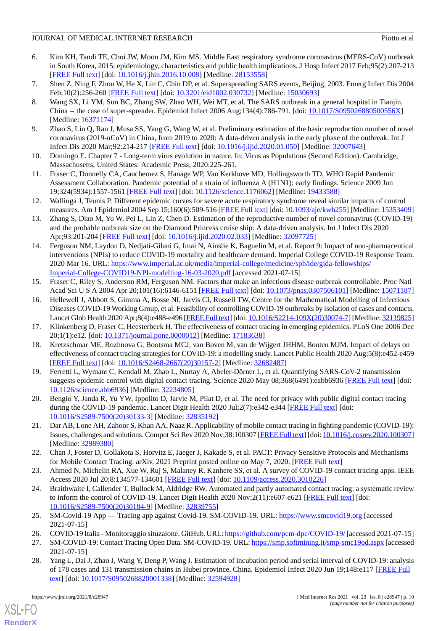# JOURNAL OF MEDICAL INTERNET RESEARCH PIONE AND ACCOUNT PROPERTY AND PROTOCOL PROPERTY AND PIOTO ET ALL PROPERTY AND PIOTO ET ALL PROPERTY AND ALL PROPERTY AND ACCOUNT AND ACCOUNT AND ACCOUNT AND ACCOUNT AND ACCOUNT AND ACC

- 6. Kim KH, Tandi TE, Choi JW, Moon JM, Kim MS. Middle East respiratory syndrome coronavirus (MERS-CoV) outbreak in South Korea, 2015: epidemiology, characteristics and public health implications. J Hosp Infect 2017 Feb;95(2):207-213 [[FREE Full text](http://europepmc.org/abstract/MED/28153558)] [doi: [10.1016/j.jhin.2016.10.008](http://dx.doi.org/10.1016/j.jhin.2016.10.008)] [Medline: [28153558\]](http://www.ncbi.nlm.nih.gov/entrez/query.fcgi?cmd=Retrieve&db=PubMed&list_uids=28153558&dopt=Abstract)
- 7. Shen Z, Ning F, Zhou W, He X, Lin C, Chin DP, et al. Superspreading SARS events, Beijing, 2003. Emerg Infect Dis 2004 Feb;10(2):256-260 [[FREE Full text](http://europepmc.org/abstract/MED/15030693)] [doi: [10.3201/eid1002.030732\]](http://dx.doi.org/10.3201/eid1002.030732) [Medline: [15030693](http://www.ncbi.nlm.nih.gov/entrez/query.fcgi?cmd=Retrieve&db=PubMed&list_uids=15030693&dopt=Abstract)]
- 8. Wang SX, Li YM, Sun BC, Zhang SW, Zhao WH, Wei MT, et al. The SARS outbreak in a general hospital in Tianjin, China -- the case of super-spreader. Epidemiol Infect 2006 Aug;134(4):786-791. [doi: [10.1017/S095026880500556X](http://dx.doi.org/10.1017/S095026880500556X)] [Medline: [16371174](http://www.ncbi.nlm.nih.gov/entrez/query.fcgi?cmd=Retrieve&db=PubMed&list_uids=16371174&dopt=Abstract)]
- <span id="page-9-1"></span><span id="page-9-0"></span>9. Zhao S, Lin Q, Ran J, Musa SS, Yang G, Wang W, et al. Preliminary estimation of the basic reproduction number of novel coronavirus (2019-nCoV) in China, from 2019 to 2020: A data-driven analysis in the early phase of the outbreak. Int J Infect Dis 2020 Mar;92:214-217 [[FREE Full text](https://www.imperial.ac.uk/mrc-global-infectious-disease-analysis/covid-19/report-2-update-case-estimates-covid-19/)] [doi: [10.1016/j.ijid.2020.01.050\]](http://dx.doi.org/10.1016/j.ijid.2020.01.050) [Medline: [32007643](http://www.ncbi.nlm.nih.gov/entrez/query.fcgi?cmd=Retrieve&db=PubMed&list_uids=32007643&dopt=Abstract)]
- <span id="page-9-2"></span>10. Domingo E. Chapter 7 - Long-term virus evolution in nature. In: Virus as Populations (Second Edition). Cambridge, Massachusetts, United States: Academic Press; 2020:225-261.
- <span id="page-9-3"></span>11. Fraser C, Donnelly CA, Cauchemez S, Hanage WP, Van Kerkhove MD, Hollingsworth TD, WHO Rapid Pandemic Assessment Collaboration. Pandemic potential of a strain of influenza A (H1N1): early findings. Science 2009 Jun 19;324(5934):1557-1561 [[FREE Full text](http://www.sciencemag.org/cgi/pmidlookup?view=long&pmid=19433588)] [doi: [10.1126/science.1176062\]](http://dx.doi.org/10.1126/science.1176062) [Medline: [19433588](http://www.ncbi.nlm.nih.gov/entrez/query.fcgi?cmd=Retrieve&db=PubMed&list_uids=19433588&dopt=Abstract)]
- <span id="page-9-4"></span>12. Wallinga J, Teunis P. Different epidemic curves for severe acute respiratory syndrome reveal similar impacts of control measures. Am J Epidemiol 2004 Sep 15;160(6):509-516 [[FREE Full text](http://europepmc.org/abstract/MED/15353409)] [doi: [10.1093/aje/kwh255\]](http://dx.doi.org/10.1093/aje/kwh255) [Medline: [15353409](http://www.ncbi.nlm.nih.gov/entrez/query.fcgi?cmd=Retrieve&db=PubMed&list_uids=15353409&dopt=Abstract)]
- <span id="page-9-5"></span>13. Zhang S, Diao M, Yu W, Pei L, Lin Z, Chen D. Estimation of the reproductive number of novel coronavirus (COVID-19) and the probable outbreak size on the Diamond Princess cruise ship: A data-driven analysis. Int J Infect Dis 2020 Apr;93:201-204 [[FREE Full text](https://linkinghub.elsevier.com/retrieve/pii/S1201-9712(20)30091-6)] [doi: [10.1016/j.ijid.2020.02.033\]](http://dx.doi.org/10.1016/j.ijid.2020.02.033) [Medline: [32097725\]](http://www.ncbi.nlm.nih.gov/entrez/query.fcgi?cmd=Retrieve&db=PubMed&list_uids=32097725&dopt=Abstract)
- <span id="page-9-6"></span>14. Ferguson NM, Laydon D, Nedjati-Gilani G, Imai N, Ainslie K, Baguelin M, et al. Report 9: Impact of non-pharmaceutical interventions (NPIs) to reduce COVID-19 mortality and healthcare demand. Imperial College COVID-19 Response Team. 2020 Mar 16. URL: [https://www.imperial.ac.uk/media/imperial-college/medicine/sph/ide/gida-fellowships/](https://www.imperial.ac.uk/media/imperial-college/medicine/sph/ide/gida-fellowships/Imperial-College-COVID19-NPI-modelling-16-03-2020.pdf) [Imperial-College-COVID19-NPI-modelling-16-03-2020.pdf](https://www.imperial.ac.uk/media/imperial-college/medicine/sph/ide/gida-fellowships/Imperial-College-COVID19-NPI-modelling-16-03-2020.pdf) [accessed 2021-07-15]
- 15. Fraser C, Riley S, Anderson RM, Ferguson NM. Factors that make an infectious disease outbreak controllable. Proc Natl Acad Sci U S A 2004 Apr 20;101(16):6146-6151 [[FREE Full text\]](http://www.pnas.org/cgi/pmidlookup?view=long&pmid=15071187) [doi: [10.1073/pnas.0307506101\]](http://dx.doi.org/10.1073/pnas.0307506101) [Medline: [15071187](http://www.ncbi.nlm.nih.gov/entrez/query.fcgi?cmd=Retrieve&db=PubMed&list_uids=15071187&dopt=Abstract)]
- <span id="page-9-16"></span>16. Hellewell J, Abbott S, Gimma A, Bosse NI, Jarvis CI, Russell TW, Centre for the Mathematical Modelling of Infectious Diseases COVID-19 Working Group, et al. Feasibility of controlling COVID-19 outbreaks by isolation of cases and contacts. Lancet Glob Health 2020 Apr;8(4):e488-e496 [[FREE Full text](https://linkinghub.elsevier.com/retrieve/pii/S2214-109X(20)30074-7)] [doi: [10.1016/S2214-109X\(20\)30074-7](http://dx.doi.org/10.1016/S2214-109X(20)30074-7)] [Medline: [32119825\]](http://www.ncbi.nlm.nih.gov/entrez/query.fcgi?cmd=Retrieve&db=PubMed&list_uids=32119825&dopt=Abstract)
- <span id="page-9-7"></span>17. Klinkenberg D, Fraser C, Heesterbeek H. The effectiveness of contact tracing in emerging epidemics. PLoS One 2006 Dec 20;1(1):e12. [doi: [10.1371/journal.pone.0000012\]](http://dx.doi.org/10.1371/journal.pone.0000012) [Medline: [17183638](http://www.ncbi.nlm.nih.gov/entrez/query.fcgi?cmd=Retrieve&db=PubMed&list_uids=17183638&dopt=Abstract)]
- 18. Kretzschmar ME, Rozhnova G, Bootsma MCJ, van Boven M, van de Wijgert JHHM, Bonten MJM. Impact of delays on effectiveness of contact tracing strategies for COVID-19: a modelling study. Lancet Public Health 2020 Aug;5(8):e452-e459 [[FREE Full text](https://linkinghub.elsevier.com/retrieve/pii/S2468-2667(20)30157-2)] [doi: [10.1016/S2468-2667\(20\)30157-2\]](http://dx.doi.org/10.1016/S2468-2667(20)30157-2) [Medline: [32682487](http://www.ncbi.nlm.nih.gov/entrez/query.fcgi?cmd=Retrieve&db=PubMed&list_uids=32682487&dopt=Abstract)]
- <span id="page-9-9"></span><span id="page-9-8"></span>19. Ferretti L, Wymant C, Kendall M, Zhao L, Nurtay A, Abeler-Dörner L, et al. Quantifying SARS-CoV-2 transmission suggests epidemic control with digital contact tracing. Science 2020 May 08;368(6491):eabb6936 [\[FREE Full text\]](http://europepmc.org/abstract/MED/32234805) [doi: [10.1126/science.abb6936](http://dx.doi.org/10.1126/science.abb6936)] [Medline: [32234805\]](http://www.ncbi.nlm.nih.gov/entrez/query.fcgi?cmd=Retrieve&db=PubMed&list_uids=32234805&dopt=Abstract)
- <span id="page-9-10"></span>20. Bengio Y, Janda R, Yu YW, Ippolito D, Jarvie M, Pilat D, et al. The need for privacy with public digital contact tracing during the COVID-19 pandemic. Lancet Digit Health 2020 Jul;2(7):e342-e344 [\[FREE Full text\]](https://linkinghub.elsevier.com/retrieve/pii/S2589-7500(20)30133-3) [doi: [10.1016/S2589-7500\(20\)30133-3\]](http://dx.doi.org/10.1016/S2589-7500(20)30133-3) [Medline: [32835192](http://www.ncbi.nlm.nih.gov/entrez/query.fcgi?cmd=Retrieve&db=PubMed&list_uids=32835192&dopt=Abstract)]
- <span id="page-9-11"></span>21. Dar AB, Lone AH, Zahoor S, Khan AA, Naaz R. Applicability of mobile contact tracing in fighting pandemic (COVID-19): Issues, challenges and solutions. Comput Sci Rev 2020 Nov;38:100307 [[FREE Full text\]](http://europepmc.org/abstract/MED/32989380) [doi: [10.1016/j.cosrev.2020.100307\]](http://dx.doi.org/10.1016/j.cosrev.2020.100307) [Medline: [32989380](http://www.ncbi.nlm.nih.gov/entrez/query.fcgi?cmd=Retrieve&db=PubMed&list_uids=32989380&dopt=Abstract)]
- <span id="page-9-12"></span>22. Chan J, Foster D, Gollakota S, Horvitz E, Jaeger J, Kakade S, et al. PACT: Privacy Sensitive Protocols and Mechanisms for Mobile Contact Tracing. arXiv. 2021 Preprint posted online on May 7, 2020. [\[FREE Full text\]](https://arxiv.org/pdf/2004.03544.pdf)
- <span id="page-9-13"></span>23. Ahmed N, Michelin RA, Xue W, Ruj S, Malaney R, Kanhere SS, et al. A survey of COVID-19 contact tracing apps. IEEE Access 2020 Jul 20;8:134577-134601 [[FREE Full text](https://ieeexplore.ieee.org/document/9144194)] [doi: [10.1109/access.2020.3010226](http://dx.doi.org/10.1109/access.2020.3010226)]
- <span id="page-9-15"></span><span id="page-9-14"></span>24. Braithwaite I, Callender T, Bullock M, Aldridge RW. Automated and partly automated contact tracing: a systematic review to inform the control of COVID-19. Lancet Digit Health 2020 Nov; 2(11): e607-e621 [\[FREE Full text\]](https://linkinghub.elsevier.com/retrieve/pii/S2589-7500(20)30184-9) [doi: [10.1016/S2589-7500\(20\)30184-9\]](http://dx.doi.org/10.1016/S2589-7500(20)30184-9) [Medline: [32839755](http://www.ncbi.nlm.nih.gov/entrez/query.fcgi?cmd=Retrieve&db=PubMed&list_uids=32839755&dopt=Abstract)]
- <span id="page-9-17"></span>25. SM-Covid-19 App — Tracing app against Covid-19. SM-COVID-19. URL: <https://www.smcovid19.org> [accessed 2021-07-15]
- 26. COVID-19 Italia Monitoraggio situzaione. GitHub. URL:<https://github.com/pcm-dpc/COVID-19/> [accessed 2021-07-15]
- 27. SM-COVID-19: Contact Tracing Open Data. SM-COVID-19. URL:<https://smp.softmining.it/smp-smc19od.aspx> [accessed] 2021-07-15]
- 28. Yang L, Dai J, Zhao J, Wang Y, Deng P, Wang J. Estimation of incubation period and serial interval of COVID-19: analysis of 178 cases and 131 transmission chains in Hubei province, China. Epidemiol Infect 2020 Jun 19;148:e117 [[FREE Full](http://europepmc.org/abstract/MED/32594928) [text](http://europepmc.org/abstract/MED/32594928)] [doi: [10.1017/S0950268820001338](http://dx.doi.org/10.1017/S0950268820001338)] [Medline: [32594928](http://www.ncbi.nlm.nih.gov/entrez/query.fcgi?cmd=Retrieve&db=PubMed&list_uids=32594928&dopt=Abstract)]

[XSL](http://www.w3.org/Style/XSL)•FO **[RenderX](http://www.renderx.com/)**